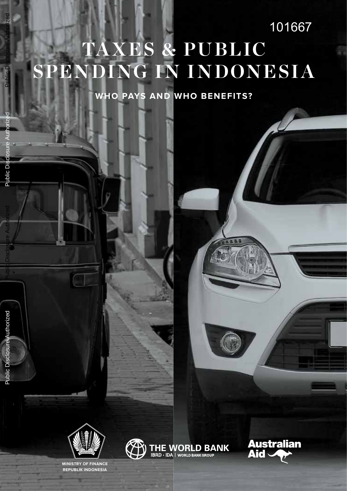## **TAXES & PUBLIC SPENDING IN INDONESIA** 101667

**WHo PAYs And WHo beneFiTs?**



**minisTrY oF FinAnce rePUblik indonesiA**



**Australian Aid** 

Public Disclosure Authorized

Public Disclosure Authorized

Public Dis

Public Disclosure Authorized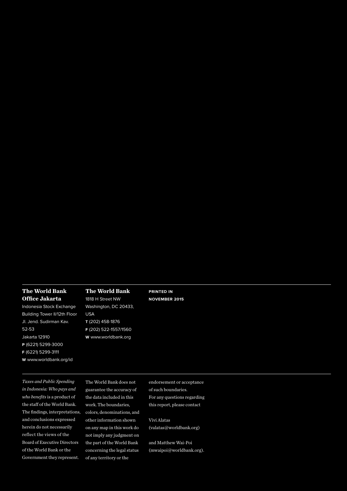#### **The World Bank Office Jakarta**

Indonesia Stock Exchange Building Tower II/12th Floor Jl. Jend. Sudirman Kav. 52-53 Jakarta 12910

- **P** (6221) 5299-3000
- **F** (6221) 5299-3111
- **W** www.worldbank.org/id

#### **The World Bank**

1818 H Street NW Washington, DC 20433, USA **T** (202) 458-1876 **F** (202) 522-1557/1560 **W** www.worldbank.org

**Printed in November 2015**

*Taxes and Public Spending in Indonesia: Who pays and who benefits* is a product of the staff of the World Bank. The findings, interpretations, and conclusions expressed herein do not necessarily reflect the views of the Board of Executive Directors of the World Bank or the Government they represent.

The World Bank does not guarantee the accuracy of the data included in this work. The boundaries, colors, denominations, and other information shown on any map in this work do not imply any judgment on the part of the World Bank concerning the legal status of any territory or the

endorsement or acceptance of such boundaries. For any questions regarding this report, please contact

Vivi Alatas (valatas@worldbank.org)

and Matthew Wai-Poi (mwaipoi@worldbank.org).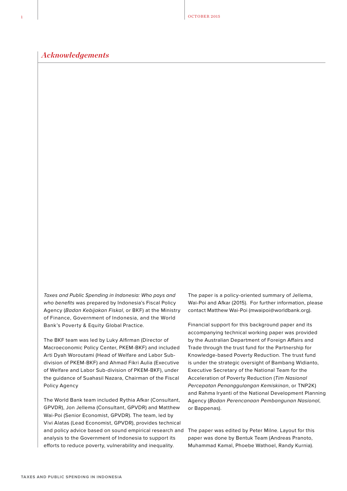OCTOBER 2015

#### *Acknowledgements*

Taxes and Public Spending in Indonesia: Who pays and who benefits was prepared by Indonesia's Fiscal Policy Agency (Badan Kebijakan Fiskal, or BKF) at the Ministry of Finance, Government of Indonesia, and the World Bank's Poverty & Equity Global Practice.

The BKF team was led by Luky Alfirman (Director of Macroeconomic Policy Center, PKEM-BKF) and included Arti Dyah Woroutami (Head of Welfare and Labor Subdivision of PKEM-BKF) and Ahmad Fikri Aulia (Executive of Welfare and Labor Sub-division of PKEM-BKF), under the guidance of Suahasil Nazara, Chairman of the Fiscal Policy Agency

The World Bank team included Rythia Afkar (Consultant, GPVDR), Jon Jellema (Consultant, GPVDR) and Matthew Wai-Poi (Senior Economist, GPVDR). The team, led by Vivi Alatas (Lead Economist, GPVDR), provides technical and policy advice based on sound empirical research and analysis to the Government of Indonesia to support its efforts to reduce poverty, vulnerability and inequality.

The paper is a policy-oriented summary of Jellema, Wai-Poi and Afkar (2015). For further information, please contact Matthew Wai-Poi (mwaipoi@worldbank.org).

Financial support for this background paper and its accompanying technical working paper was provided by the Australian Department of Foreign Affairs and Trade through the trust fund for the Partnership for Knowledge-based Poverty Reduction. The trust fund is under the strategic oversight of Bambang Widianto, Executive Secretary of the National Team for the Acceleration of Poverty Reduction (Tim Nasional Percepatan Penanggulangan Kemiskinan, or TNP2K) and Rahma Iryanti of the National Development Planning Agency (Badan Perencanaan Pembangunan Nasional, or Bappenas).

The paper was edited by Peter Milne. Layout for this paper was done by Bentuk Team (Andreas Pranoto, Muhammad Kamal, Phoebe Wathoel, Randy Kurnia).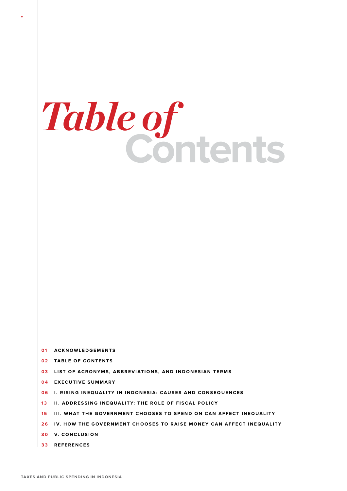# **Contents** *Table of*

- **01 ACKNOWLEDGEMENTS**
- **02 TABLE OF CONTENTS**
- **03 LIST OF ACRONYMS, ABBREVIATIONS, AND INDONESIAN TERMS**
- **0 4 EXECUTIVE S U M M A R Y**
- **06 I. RISING INEQUALITY IN INDONESIA: CAUSES AND CONSEQUENCES**
- **13 II. ADDRESSING INEQUALITY: THE ROLE OF FISCAL POLICY**
- **1 5 III. WHAT TH E GOVERNMENT C HOOSES TO S PEND O N C A N AFFECT INEQUALITY**
- **2 6 I V. HOW TH E GOVERNMENT C HOOSES TO R AISE MONEY C A N AFFECT INEQUALITY**
- **3 0 V. CONCLU SION**
- **3 3 RE F ERENCES**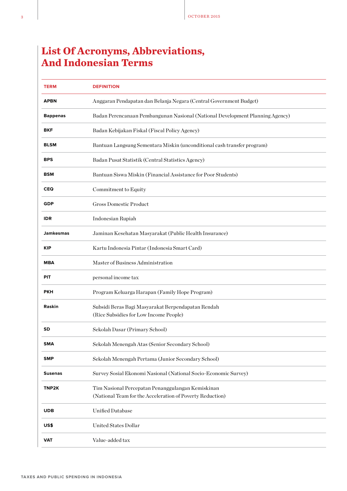#### **List Of Acronyms, Abbreviations, And Indonesian Terms**

| <b>TERM</b>      | <b>DEFINITION</b>                                                                                              |
|------------------|----------------------------------------------------------------------------------------------------------------|
| <b>APBN</b>      | Anggaran Pendapatan dan Belanja Negara (Central Government Budget)                                             |
| <b>Bappenas</b>  | Badan Perencanaan Pembangunan Nasional (National Development Planning Agency)                                  |
| <b>BKF</b>       | Badan Kebijakan Fiskal (Fiscal Policy Agency)                                                                  |
| <b>BLSM</b>      | Bantuan Langsung Sementara Miskin (unconditional cash transfer program)                                        |
| <b>BPS</b>       | Badan Pusat Statistik (Central Statistics Agency)                                                              |
| <b>BSM</b>       | Bantuan Siswa Miskin (Financial Assistance for Poor Students)                                                  |
| <b>CEQ</b>       | Commitment to Equity                                                                                           |
| <b>GDP</b>       | <b>Gross Domestic Product</b>                                                                                  |
| <b>IDR</b>       | Indonesian Rupiah                                                                                              |
| <b>Jamkesmas</b> | Jaminan Kesehatan Masyarakat (Public Health Insurance)                                                         |
| <b>KIP</b>       | Kartu Indonesia Pintar (Indonesia Smart Card)                                                                  |
| <b>MBA</b>       | Master of Business Administration                                                                              |
| PIT              | personal income tax                                                                                            |
| <b>PKH</b>       | Program Keluarga Harapan (Family Hope Program)                                                                 |
| Raskin           | Subsidi Beras Bagi Masyarakat Berpendapatan Rendah                                                             |
|                  | (Rice Subsidies for Low Income People)                                                                         |
| <b>SD</b>        | Sekolah Dasar (Primary School)                                                                                 |
| <b>SMA</b>       | Sekolah Menengah Atas (Senior Secondary School)                                                                |
| <b>SMP</b>       | Sekolah Menengah Pertama (Junior Secondary School)                                                             |
| <b>Susenas</b>   | Survey Sosial Ekonomi Nasional (National Socio-Economic Survey)                                                |
| TNP2K            | Tim Nasional Percepatan Penanggulangan Kemiskinan<br>(National Team for the Acceleration of Poverty Reduction) |
| <b>UDB</b>       | <b>Unified Database</b>                                                                                        |
| US\$             | United States Dollar                                                                                           |
| <b>VAT</b>       | Value-added tax                                                                                                |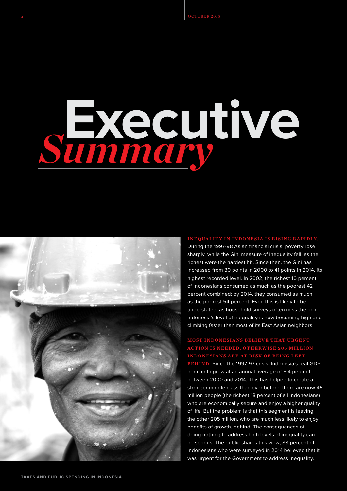## **Executive** *Summary*



#### Inequality in Indonesia is rising rapidly.

During the 1997-98 Asian financial crisis, poverty rose sharply, while the Gini measure of inequality fell, as the richest were the hardest hit. Since then, the Gini has increased from 30 points in 2000 to 41 points in 2014, its highest recorded level. In 2002, the richest 10 percent of Indonesians consumed as much as the poorest 42 percent combined; by 2014, they consumed as much as the poorest 54 percent. Even this is likely to be understated, as household surveys often miss the rich. Indonesia's level of inequality is now becoming high and climbing faster than most of its East Asian neighbors.

#### MOST INDONESIANS BELIEVE THAT URGENT action is needed, otherwise 205 million **INDONESIANS ARE AT RISK OF BEING LEFT**

**BEHIND.** Since the 1997-97 crisis, Indonesia's real GDP per capita grew at an annual average of 5.4 percent between 2000 and 2014. This has helped to create a stronger middle class than ever before; there are now 45 million people (the richest 18 percent of all Indonesians) who are economically secure and enjoy a higher quality of life. But the problem is that this segment is leaving the other 205 million, who are much less likely to enjoy benefits of growth, behind. The consequences of doing nothing to address high levels of inequality can be serious. The public shares this view; 88 percent of Indonesians who were surveyed in 2014 believed that it was urgent for the Government to address inequality.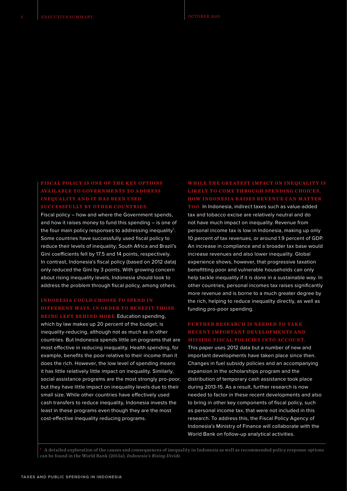FISCAL POLICY IS ONE OF THE KEY OPTIONS AVAILABLE TO GOVERNMENTS TO ADDRESS **inequality and it has been used** SUCCESSFULLY BY OTHER COUNTRIES

Fiscal policy – how and where the Government spends, and how it raises money to fund this spending – is one of the four main policy responses to addressing inequality<sup>1</sup>. Some countries have successfully used fiscal policy to reduce their levels of inequality; South Africa and Brazil's Gini coefficients fell by 17.5 and 14 points, respectively. In contrast, Indonesia's fiscal policy (based on 2012 data) only reduced the Gini by 3 points. With growing concern about rising inequality levels, Indonesia should look to address the problem through fiscal policy, among others.

#### Indonesia could choose to spend in DIFFERENT WAYS, IN ORDER TO BENEFIT THOSE

**BEING LEFT BEHIND MORE. Education spending,** which by law makes up 20 percent of the budget, is inequality-reducing, although not as much as in other countries. But Indonesia spends little on programs that are most effective in reducing inequality. Health spending, for example, benefits the poor relative to their income than it does the rich. However, the low level of spending means it has little relatively little impact on inequality. Similarly, social assistance programs are the most strongly pro-poor, but they have little impact on inequality levels due to their small size. While other countries have effectively used cash transfers to reduce inequality, Indonesia invests the least in these programs even though they are the most cost-effective inequality reducing programs.

#### WHILE THE GREATEST IMPACT ON INEQUALITY IS LIKELY TO COME THROUGH SPENDING CHOICES **HOW INDONESIA RAISES REVENUE CAN MATTER**

TOO. In Indonesia, indirect taxes such as value-added tax and tobacco excise are relatively neutral and do not have much impact on inequality. Revenue from personal income tax is low in Indonesia, making up only 10 percent of tax revenues, or around 1.9 percent of GDP. An increase in compliance and a broader tax base would increase revenues and also lower inequality. Global experience shows, however, that progressive taxation benefitting poor and vulnerable households can only help tackle inequality if it is done in a sustainable way. In other countries, personal incomes tax raises significantly more revenue and is borne to a much greater degree by the rich, helping to reduce inequality directly, as well as funding pro-poor spending.

#### FURTHER RESEARCH IS NEEDED TO TAKE RECENT IMPORTANT DEVELOPMENTS AND **MISSING FISCAL POLICIES INTO ACCOUN**

This paper uses 2012 data but a number of new and important developments have taken place since then. Changes in fuel subsidy policies and an accompanying expansion in the scholarships program and the distribution of temporary cash assistance took place during 2013-15. As a result, further research is now needed to factor in these recent developments and also to bring in other key components of fiscal policy, such as personal income tax, that were not included in this research. To address this, the Fiscal Policy Agency of Indonesia's Ministry of Finance will collaborate with the World Bank on follow-up analytical activities.

**<sup>1</sup>** A detailed exploration of the causes and consequences of inequality in Indonesia as well as recommended policy response options can be found in the World Bank (2015a), *Indonesia's Rising Divide.*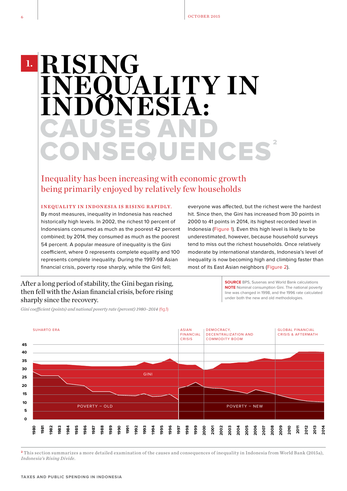### CAUSES AND CONSEQUENCES' **RISING INEXALITY IN INDONESIA: 1.**

Inequality has been increasing with economic growth being primarily enjoyed by relatively few households

INEQUALITY IN INDONESIA IS RISING RAPIDLY.

By most measures, inequality in Indonesia has reached historically high levels. In 2002, the richest 10 percent of Indonesians consumed as much as the poorest 42 percent combined; by 2014, they consumed as much as the poorest 54 percent. A popular measure of inequality is the Gini coefficient, where 0 represents complete equality and 100 represents complete inequality. During the 1997-98 Asian financial crisis, poverty rose sharply, while the Gini fell;

everyone was affected, but the richest were the hardest hit. Since then, the Gini has increased from 30 points in 2000 to 41 points in 2014, its highest recorded level in Indonesia (Figure 1). Even this high level is likely to be underestimated, however, because household surveys tend to miss out the richest households. Once relatively moderate by international standards, Indonesia's level of inequality is now becoming high and climbing faster than most of its East Asian neighbors (Figure 2).

After a long period of stability, the Gini began rising, then fell with the Asian financial crisis, before rising sharply since the recovery.

*Gini coefficient (points) and national poverty rate (percent) 1980–2014* (fig.1)

**SOURCE** BPS, Susenas and World Bank calculations **NOTE** Nominal consumption Gini. The national poverty line was changed in 1998, and the 1996 rate calculated under both the new and old methodologies.



**<sup>2</sup>** This section summarizes a more detailed examination of the causes and consequences of inequality in Indonesia from World Bank (2015a), *Indonesia's Rising Divide*.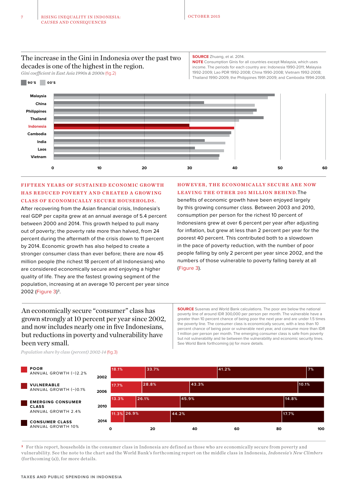#### The increase in the Gini in Indonesia over the past two decades is one of the highest in the region.

*Gini coefficient in East Asia 1990s & 2000s* (fig.2)

#### **SOURCE** Zhuang, et al. 2014.

**NOTE** Consumption Ginis for all countries except Malaysia, which uses income. The periods for each country are: Indonesia 1990-2011; Malaysia 1992-2009; Lao PDR 1992-2008; China 1990-2008; Vietnam 1992-2008; Thailand 1990-2009; the Philippines 1991-2009; and Cambodia 1994-2008.



#### FIFTEEN YEARS OF SUSTAINED ECONOMIC GROWTH HAS REDUCED POVERTY AND CREATED A GROWING CLASS OF ECONOMICALLY SECURE HOUSEHOLDS.

After recovering from the Asian financial crisis, Indonesia's real GDP per capita grew at an annual average of 5.4 percent between 2000 and 2014. This growth helped to pull many out of poverty; the poverty rate more than halved, from 24 percent during the aftermath of the crisis down to 11 percent by 2014. Economic growth has also helped to create a stronger consumer class than ever before; there are now 45 million people (the richest 18 percent of all Indonesians) who are considered economically secure and enjoying a higher quality of life. They are the fastest growing segment of the population, increasing at an average 10 percent per year since 2002 (Figure 3) 3.

HOWEVER, THE ECONOMICALLY SECURE ARE NOW LEAVING THE OTHER 205 MILLION BEHIND. The benefits of economic growth have been enjoyed largely by this growing consumer class. Between 2003 and 2010, consumption per person for the richest 10 percent of Indonesians grew at over 6 percent per year after adjusting for inflation, but grew at less than 2 percent per year for the poorest 40 percent. This contributed both to a slowdown in the pace of poverty reduction, with the number of poor people falling by only 2 percent per year since 2002, and the numbers of those vulnerable to poverty falling barely at all

(Figure 3).

An economically secure "consumer" class has grown strongly at 10 percent per year since 2002, and now includes nearly one in five Indonesians, but reductions in poverty and vulnerability have been very small.

**SOURCE** Susenas and World Bank calculations. The poor are below the national poverty line of around IDR 300,000 per person per month. The vulnerable have a greater than 10 percent chance of being poor the next year and are under 1.5 times the poverty line. The consumer class is economically secure, with a less than 10 percent chance of being poor or vulnerable next year, and consume more than IDR 1 million per person per month. The emerging consumer class is safe from poverty but not vulnerability and lie between the vulnerability and economic security lines. See World Bank forthcoming (a) for more details.





**<sup>3</sup>** For this report, households in the consumer class in Indonesia are defined as those who are economically secure from poverty and vulnerability. See the note to the chart and the World Bank's forthcoming report on the middle class in Indonesia, *Indonesia's New Climbers* (forthcoming (a)), for more details.

**90'S 00'S**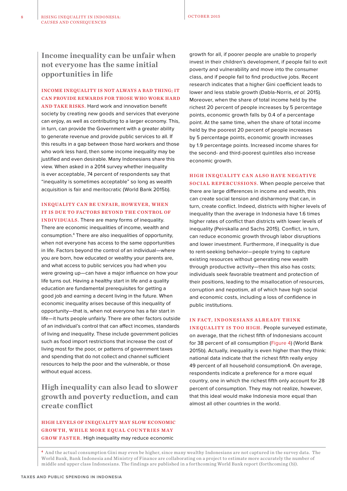**Income inequality can be unfair when not everyone has the same initial opportunities in life**

#### INCOME INEQUALITY IS NOT ALWAYS A BAD THING; IT CAN PROVIDE REWARDS FOR THOSE WHO WORK HARD

AND TAKE RISKS. Hard work and innovation benefit society by creating new goods and services that everyone can enjoy, as well as contributing to a larger economy. This, in turn, can provide the Government with a greater ability to generate revenue and provide public services to all. If this results in a gap between those hard workers and those who work less hard, then some income inequality may be justified and even desirable. Many Indonesians share this view. When asked in a 2014 survey whether inequality is ever acceptable, 74 percent of respondents say that "inequality is sometimes acceptable" so long as wealth acquisition is fair and meritocratic (World Bank 2015b).

#### INEQUALITY CAN BE UNFAIR, HOWEVER, WHEN IT IS DUE TO FACTORS BEYOND THE CONTROL OF

INDIVIDUALS. There are many forms of inequality. There are economic inequalities of income, wealth and consumption.4 There are also inequalities of opportunity, when not everyone has access to the same opportunities in life. Factors beyond the control of an individual—where you are born, how educated or wealthy your parents are, and what access to public services you had when you were growing up—can have a major influence on how your life turns out. Having a healthy start in life and a quality education are fundamental prerequisites for getting a good job and earning a decent living in the future. When economic inequality arises because of this inequality of opportunity—that is, when not everyone has a fair start in life—it hurts people unfairly. There are other factors outside of an individual's control that can affect incomes, standards of living and inequality. These include government policies such as food import restrictions that increase the cost of living most for the poor, or patterns of government taxes and spending that do not collect and channel sufficient resources to help the poor and the vulnerable, or those without equal access.

**High inequality can also lead to slower growth and poverty reduction, and can create conflict**

#### HIGH LEVELS OF INEQUALITY MAY SLOW ECONOMIC GROWTH, WHILE MORE EQUAL COUNTRIES MAY GROW FASTER. High inequality may reduce economic

growth for all, if poorer people are unable to properly invest in their children's development, if people fail to exit poverty and vulnerability and move into the consumer class, and if people fail to find productive jobs. Recent research indicates that a higher Gini coefficient leads to lower and less stable growth (Dabla-Norris, et al. 2015). Moreover, when the share of total income held by the richest 20 percent of people increases by 5 percentage points, economic growth falls by 0.4 of a percentage point. At the same time, when the share of total income held by the poorest 20 percent of people increases by 5 percentage points, economic growth increases by 1.9 percentage points. Increased income shares for the second- and third-poorest quintiles also increase economic growth.

#### HIGH INEQUALITY CAN ALSO HAVE NEGATIVE

SOCIAL REPERCUSSIONS. When people perceive that there are large differences in income and wealth, this can create social tension and disharmony that can, in turn, create conflict. Indeed, districts with higher levels of inequality than the average in Indonesia have 1.6 times higher rates of conflict than districts with lower levels of inequality (Peirskalla and Sachs 2015). Conflict, in turn, can reduce economic growth through labor disruptions and lower investment. Furthermore, if inequality is due to rent-seeking behavior—people trying to capture existing resources without generating new wealth through productive activity—then this also has costs; individuals seek favorable treatment and protection of their positions, leading to the misallocation of resources, corruption and nepotism, all of which have high social and economic costs, including a loss of confidence in public institutions.

#### IN FACT, INDONESIANS ALREADY THINK

INEQUALITY IS TOO HIGH. People surveyed estimate, on average, that the richest fifth of Indonesians account for 38 percent of all consumption (Figure 4) (World Bank 2015b). Actually, inequality is even higher than they think: national data indicate that the richest fifth really enjoy 49 percent of all household consumption4. On average, respondents indicate a preference for a more equal country, one in which the richest fifth only account for 28 percent of consumption. They may not realize, however, that this ideal would make Indonesia more equal than almost all other countries in the world.

**<sup>4</sup>** And the actual consumption Gini may even be higher, since many wealthy Indonesians are not captured in the survey data. The World Bank, Bank Indonesia and Ministry of Finance are collaborating on a project to estimate more accurately the number of middle and upper class Indonesians. The findings are published in a forthcoming World Bank report (forthcoming ( b)).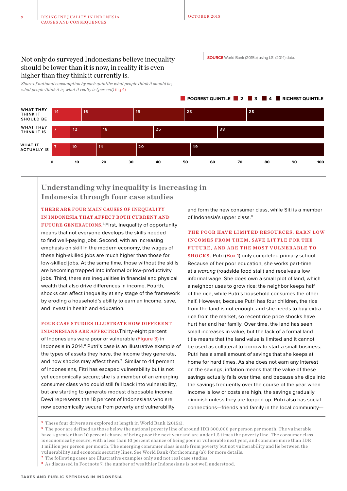Not only do surveyed Indonesians believe inequality should be lower than it is now, in reality it is even higher than they think it currently is.

*Share of national consumption by each quintile: what people think it should be, what people think it is, what it really is (percent)* (fig.4)

**WHAT THEY THINK IT SHOULD BE 14 16 19 23 7 12 18 25 7 10 14 20 WHAT THEY THINK IT IS WHAT IT ACTUALLY IS 0 10 20 30 40 50 60 70 80 90 100 28 38 49**

#### **Understanding why inequality is increasing in Indonesia through four case studies**

#### THERE ARE FOUR MAIN CAUSES OF INEQUALITY IN INDONESIA THAT AFFECT BOTH CURRENT AND

FUTURE GENERATIONS.<sup>5</sup> First, inequality of opportunity means that not everyone develops the skills needed to find well-paying jobs. Second, with an increasing emphasis on skill in the modern economy, the wages of these high-skilled jobs are much higher than those for low-skilled jobs. At the same time, those without the skills are becoming trapped into informal or low-productivity jobs. Third, there are inequalities in financial and physical wealth that also drive differences in income. Fourth, shocks can affect inequality at any stage of the framework by eroding a household's ability to earn an income, save, and invest in health and education.

#### FOUR CASE STUDIES ILLUSTRATE HOW DIFFERENT

INDONESIANS ARE AFFECTED.Thirty-eight percent of Indonesians were poor or vulnerable (Figure 3) in Indonesia in 2014.6 Putri's case is an illustrative example of the types of assets they have, the income they generate, and how shocks may affect them. $<sup>7</sup>$  Similar to 44 percent</sup> of Indonesians, Fitri has escaped vulnerability but is not yet economically secure; she is a member of an emerging consumer class who could still fall back into vulnerability, but are starting to generate modest disposable income. Dewi represents the 18 percent of Indonesians who are now economically secure from poverty and vulnerability

and form the new consumer class, while Siti is a member of Indonesia's upper class.<sup>8</sup>

#### THE POOR HAVE LIMITED RESOURCES, EARN LOW INCOMES FROM THEM, SAVE LITTLE FOR THE FUTURE, AND ARE THE MOST VULNERABLE TO

SHOCKS. Putri (Box 1) only completed primary school. Because of her poor education, she works part-time at a warung (roadside food stall) and receives a low informal wage. She does own a small plot of land, which a neighbor uses to grow rice; the neighbor keeps half of the rice, while Putri's household consumes the other half. However, because Putri has four children, the rice from the land is not enough, and she needs to buy extra rice from the market, so recent rice price shocks have hurt her and her family. Over time, the land has seen small increases in value, but the lack of a formal land title means that the land value is limited and it cannot be used as collateral to borrow to start a small business. Putri has a small amount of savings that she keeps at home for hard times. As she does not earn any interest on the savings, inflation means that the value of these savings actually falls over time, and because she dips into the savings frequently over the course of the year when income is low or costs are high, the savings gradually diminish unless they are topped up. Putri also has social connections—friends and family in the local community—

**<sup>5</sup>** These four drivers are explored at length in World Bank (2015a).

**<sup>6</sup>** The poor are defined as those below the national poverty line of around IDR 300,000 per person per month. The vulnerable have a greater than 10 percent chance of being poor the next year and are under 1.5 times the poverty line. The consumer class is economically secure, with a less than 10 percent chance of being poor or vulnerable next year, and consume more than IDR 1 million per person per month. The emerging consumer class is safe from poverty but not vulnerability and lie between the vulnerability and economic security lines. See World Bank (forthcoming (a)) for more details.

**<sup>7</sup>** The following cases are illustrative examples only and not real case studies.

**<sup>8</sup>** As discussed in Footnote 7, the number of wealthier Indonesians is not well understood.

**POOREST QUINTILE 2 4** 3 **4 RICHEST QUINTILE** 

**SOURCE** World Bank (2015b) using LSI (2014) data.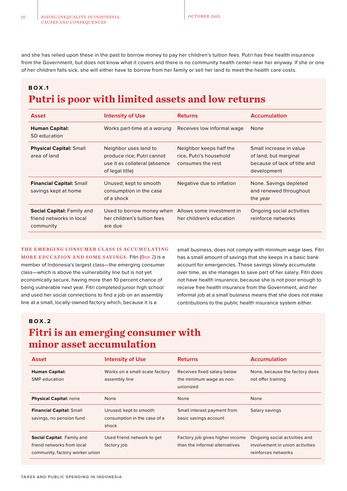and she has relied upon these in the past to borrow money to pay her children's tuition fees. Putri has free health insurance from the Government, but does not know what it covers and there is no community health center near her anyway. If she or one of her children falls sick, she will either have to borrow from her family or sell her land to meet the health care costs.

#### **B O X .1**

#### **Putri is poor with limited assets and low returns**

| <b>Asset</b>                                                               | <b>Intensity of Use</b>                                                                                 | <b>Returns</b>                                                          | <b>Accumulation</b>                                                                             |
|----------------------------------------------------------------------------|---------------------------------------------------------------------------------------------------------|-------------------------------------------------------------------------|-------------------------------------------------------------------------------------------------|
| <b>Human Capital:</b><br>SD education                                      | Works part-time at a warung                                                                             | Receives low informal wage                                              | None                                                                                            |
| <b>Physical Capital: Small</b><br>area of land                             | Neighbor uses land to<br>produce rice; Putri cannot<br>use it as collateral (absence<br>of legal title) | Neighbor keeps half the<br>rice, Putri's household<br>consumes the rest | Small increase in value<br>of land, but marginal<br>because of lack of title and<br>development |
| <b>Financial Capital: Small</b><br>savings kept at home                    | Unused; kept to smooth<br>consumption in the case<br>of a shock                                         | Negative due to inflation                                               | None. Savings depleted<br>and renewed throughout<br>the year                                    |
| <b>Social Capital: Family and</b><br>friend networks in local<br>community | Used to borrow money when<br>her children's tuition fees<br>are due                                     | Allows some investment in<br>her children's education                   | Ongoing social activities<br>reinforce networks                                                 |

#### THE EMERGING CONSUMER CLASS IS ACCUMULATING MORE EDUCATION AND SOME SAVINGS. Fitri (Box 2) is a member of Indonesia's largest class—the emerging consumer

class—which is above the vulnerability line but is not yet economically secure, having more than 10 percent chance of being vulnerable next year. Fitri completed junior high school and used her social connections to find a job on an assembly line at a small, locally-owned factory which, because it is a

small business, does not comply with minimum wage laws. Fitri has a small amount of savings that she keeps in a basic bank account for emergencies. These savings slowly accumulate over time, as she manages to save part of her salary. Fitri does not have health insurance, because she is not poor enough to receive free health insurance from the Government, and her informal job at a small business means that she does not make contributions to the public health insurance system either.

#### **B O X . 2**

#### **Fitri is an emerging consumer with minor asset accumulation**

| <b>Asset</b>                                                                                | <b>Intensity of Use</b>                                         | <b>Returns</b>                                                       | <b>Accumulation</b>                                                                     |
|---------------------------------------------------------------------------------------------|-----------------------------------------------------------------|----------------------------------------------------------------------|-----------------------------------------------------------------------------------------|
| <b>Human Capital:</b><br><b>SMP</b> education                                               | Works on a small-scale factory<br>assembly line                 | Receives fixed salary below<br>the minimum wage as non-<br>unionized | None, because the factory does<br>not offer training                                    |
| <b>Physical Capital: none</b>                                                               | None                                                            | <b>None</b>                                                          | None                                                                                    |
| <b>Financial Capital: Small</b><br>savings, no pension fund                                 | Unused; kept to smooth<br>consumption in the case of a<br>shock | Small interest payment from<br>basic savings account                 | Salary savings                                                                          |
| Social Capital: Family and<br>friend networks from local<br>community, factory worker union | Used friend network to get<br>factory job                       | Factory job gives higher income<br>than the informal alternatives    | Ongoing social activities and<br>involvement in union activities<br>reinforces networks |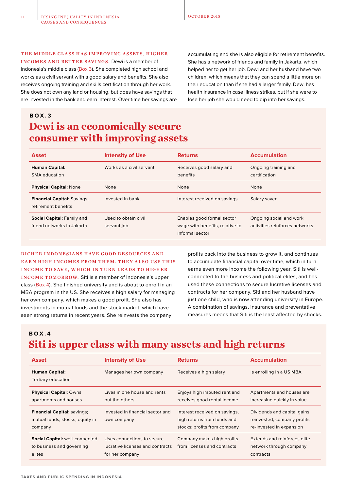#### THE MIDDLE CLASS HAS IMPROVING ASSETS, HIGHER

INCOMES A ND BETTER SAVINGS. Dewi is a member of Indonesia's middle class (Box 3). She completed high school and works as a civil servant with a good salary and benefits. She also receives ongoing training and skills certification through her work. She does not own any land or housing, but does have savings that are invested in the bank and earn interest. Over time her savings are

accumulating and she is also eligible for retirement benefits. She has a network of friends and family in Jakarta, which helped her to get her job. Dewi and her husband have two children, which means that they can spend a little more on their education than if she had a larger family. Dewi has health insurance in case illness strikes, but if she were to lose her job she would need to dip into her savings.

#### **Dewi is an economically secure consumer with improving assets B O X . 3**

| <b>Asset</b>                                              | <b>Intensity of Use</b>             | <b>Returns</b>                                                                   | <b>Accumulation</b>                                       |
|-----------------------------------------------------------|-------------------------------------|----------------------------------------------------------------------------------|-----------------------------------------------------------|
| <b>Human Capital:</b><br>SMA education                    | Works as a civil servant            | Receives good salary and<br>benefits                                             | Ongoing training and<br>certification                     |
| <b>Physical Capital: None</b>                             | None                                | None                                                                             | None                                                      |
| <b>Financial Capital: Savings;</b><br>retirement benefits | Invested in bank                    | Interest received on savings                                                     | Salary saved                                              |
| Social Capital: Family and<br>friend networks in Jakarta  | Used to obtain civil<br>servant job | Enables good formal sector<br>wage with benefits, relative to<br>informal sector | Ongoing social and work<br>activities reinforces networks |

#### RICHER INDONESIANS HAVE GOOD RESOURCES AND EARN HIGH INCOMES FROM THEM. THEY ALSO USE THIS INCOME TO SAVE, WHICH IN TURN LEADS TO HIGHER INCOME TOMORROW. Siti is a member of Indonesia's upper

class (Box 4). She finished university and is about to enroll in an MBA program in the US. She receives a high salary for managing her own company, which makes a good profit. She also has investments in mutual funds and the stock market, which have seen strong returns in recent years. She reinvests the company

profits back into the business to grow it, and continues to accumulate financial capital over time, which in turn earns even more income the following year. Siti is wellconnected to the business and political elites, and has used these connections to secure lucrative licenses and contracts for her company. Siti and her husband have just one child, who is now attending university in Europe. A combination of savings, insurance and preventative measures means that Siti is the least affected by shocks.

**B O X . 4**

#### **Siti is upper class with many assets and high returns**

| <b>Asset</b>                                                                     | <b>Intensity of Use</b>                                                           | <b>Returns</b>                                                                               | <b>Accumulation</b>                                                                    |
|----------------------------------------------------------------------------------|-----------------------------------------------------------------------------------|----------------------------------------------------------------------------------------------|----------------------------------------------------------------------------------------|
| <b>Human Capital:</b><br>Tertiary education                                      | Manages her own company                                                           | Receives a high salary                                                                       | Is enrolling in a US MBA                                                               |
| <b>Physical Capital: Owns</b><br>apartments and houses                           | Lives in one house and rents<br>out the others                                    | Enjoys high imputed rent and<br>receives good rental income                                  | Apartments and houses are<br>increasing quickly in value                               |
| <b>Financial Capital: savings:</b><br>mutual funds; stocks; equity in<br>company | Invested in financial sector and<br>own company                                   | Interest received on savings,<br>high returns from funds and<br>stocks; profits from company | Dividends and capital gains<br>reinvested; company profits<br>re-invested in expansion |
| <b>Social Capital: well-connected</b><br>to business and governing<br>elites     | Uses connections to secure<br>lucrative licenses and contracts<br>for her company | Company makes high profits<br>from licenses and contracts                                    | Extends and reinforces elite<br>network through company<br>contracts                   |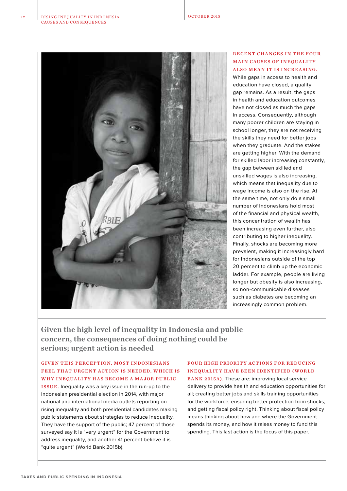

#### RECENT CHANGES IN THE FOUR **MAIN CAUSES OF INEQUALITY** ALSO MEAN IT IS INCREASING.

While gaps in access to health and education have closed, a quality gap remains. As a result, the gaps in health and education outcomes have not closed as much the gaps in access. Consequently, although many poorer children are staying in school longer, they are not receiving the skills they need for better jobs when they graduate. And the stakes are getting higher. With the demand for skilled labor increasing constantly, the gap between skilled and unskilled wages is also increasing, which means that inequality due to wage income is also on the rise. At the same time, not only do a small number of Indonesians hold most of the financial and physical wealth, this concentration of wealth has been increasing even further, also contributing to higher inequality. Finally, shocks are becoming more prevalent, making it increasingly hard for Indonesians outside of the top 20 percent to climb up the economic ladder. For example, people are living longer but obesity is also increasing, so non-communicable diseases such as diabetes are becoming an increasingly common problem.

**Given the high level of inequality in Indonesia and public concern, the consequences of doing nothing could be serious; urgent action is needed**

#### GIVEN THIS PERCEPTION, MOST INDONESIANS FEEL THAT URGENT ACTION IS NEEDED, WHICH IS WHY INEQUALITY HAS BECOME A MAJOR PUBLIC

ISSUE. Inequality was a key issue in the run-up to the Indonesian presidential election in 2014, with major national and international media outlets reporting on rising inequality and both presidential candidates making public statements about strategies to reduce inequality. They have the support of the public; 47 percent of those surveyed say it is "very urgent" for the Government to address inequality, and another 41 percent believe it is "quite urgent" (World Bank 2015b).

#### FOUR HIGH PRIORITY ACTIONS FOR REDUCING INEQUALITY HAVE BEEN IDENTIFIED (WORLD

BANK 2015A). These are: improving local service delivery to provide health and education opportunities for all; creating better jobs and skills training opportunities for the workforce; ensuring better protection from shocks; and getting fiscal policy right. Thinking about fiscal policy means thinking about how and where the Government spends its money, and how it raises money to fund this spending. This last action is the focus of this paper.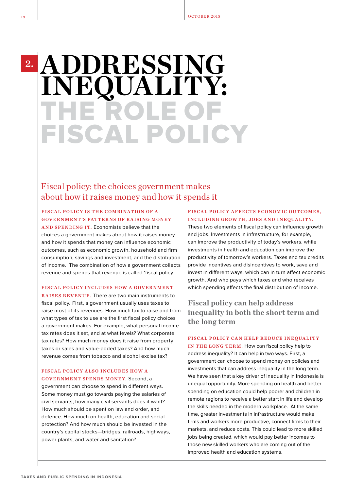## THE ROL FISCAL POLICY **ADDRESSING INEQUALITY:**

#### Fiscal policy: the choices government makes about how it raises money and how it spends it

#### FISCAL POLICY IS THE COMBINATION OF A GOVERNMENT'S PATTERNS OF RAISING MONEY

AND SPENDING IT. Economists believe that the choices a government makes about how it raises money and how it spends that money can influence economic outcomes, such as economic growth, household and firm consumption, savings and investment, and the distribution of income. The combination of how a government collects revenue and spends that revenue is called 'fiscal policy'.

#### FISCAL POLICY INCLUDES HOW A GOVERNMENT

R AISES REVENUE. There are two main instruments to fiscal policy. First, a government usually uses taxes to raise most of its revenues. How much tax to raise and from what types of tax to use are the first fiscal policy choices a government makes. For example, what personal income tax rates does it set, and at what levels? What corporate tax rates? How much money does it raise from property taxes or sales and value-added taxes? And how much revenue comes from tobacco and alcohol excise tax?

#### FISCAL POLICY ALSO INCLUDES HOW A GOVERNMENT SPENDS MONEY. Second, a

government can choose to spend in different ways. Some money must go towards paying the salaries of civil servants; how many civil servants does it want? How much should be spent on law and order, and defence. How much on health, education and social protection? And how much should be invested in the country's capital stocks—bridges, railroads, highways, power plants, and water and sanitation?

#### FISCAL POLICY AFFECTS ECONOMIC OUTCOMES. INCLUDING GROWTH, JOBS AND INEQUALITY.

These two elements of fiscal policy can influence growth and jobs. Investments in infrastructure, for example, can improve the productivity of today's workers, while investments in health and education can improve the productivity of tomorrow's workers. Taxes and tax credits provide incentives and disincentives to work, save and invest in different ways, which can in turn affect economic growth. And who pays which taxes and who receives which spending affects the final distribution of income.

#### **Fiscal policy can help address inequality in both the short term and the long term**

#### FISCAL POLICY CAN HELP REDUCE INEQUALITY

IN THE LONG TERM. How can fiscal policy help to address inequality? It can help in two ways. First, a government can choose to spend money on policies and investments that can address inequality in the long term. We have seen that a key driver of inequality in Indonesia is unequal opportunity. More spending on health and better spending on education could help poorer and children in remote regions to receive a better start in life and develop the skills needed in the modern workplace. At the same time, greater investments in infrastructure would make firms and workers more productive, connect firms to their markets, and reduce costs. This could lead to more skilled jobs being created, which would pay better incomes to those new skilled workers who are coming out of the improved health and education systems.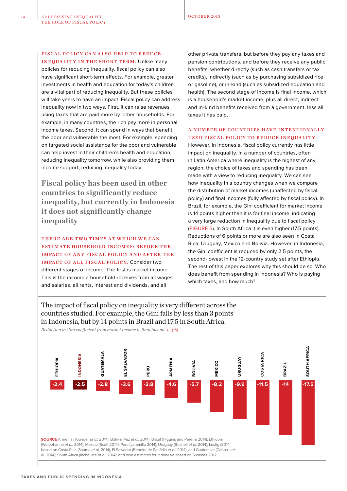#### FISCAL POLICY CAN ALSO HELP TO REDUCE

INEQUALITY IN THE SHORT TERM. Unlike many policies for reducing inequality, fiscal policy can also have significant short-term effects. For example, greater investments in health and education for today's children are a vital part of reducing inequality. But these policies will take years to have an impact. Fiscal policy can address inequality now in two ways. First, it can raise revenues using taxes that are paid more by richer households. For example, in many countries, the rich pay more in personal income taxes. Second, it can spend in ways that benefit the poor and vulnerable the most. For example, spending on targeted social assistance for the poor and vulnerable can help invest in their children's health and education, reducing inequality tomorrow, while also providing them income support, reducing inequality today.

**Fiscal policy has been used in other countries to significantly reduce inequality, but currently in Indonesia it does not significantly change inequality**

THERE ARE TWO TIMES AT WHICH WE CAN ESTIMATE HOUSEHOLD INCOMES: BEFORE THE IMPACT OF ANY FISCAL POLICY AND AFTER THE I MPACT OF ALL FISCAL POLICY. Consider two different stages of income. The first is market income. This is the income a household receives from all wages and salaries, all rents, interest and dividends, and all

other private transfers, but before they pay any taxes and pension contributions, and before they receive any public benefits, whether directly (such as cash transfers or tax credits), indirectly (such as by purchasing subsidized rice or gasoline), or in-kind (such as subsidized education and health). The second stage of income is final income, which is a household's market income, plus all direct, indirect and in-kind benefits received from a government, less all taxes it has paid.

#### A NUMBER OF COUNTRIES HAVE INTENTIONALLY USED FISCAL POLICY TO REDUCE INEQUALITY.

However, in Indonesia, fiscal policy currently has little impact on inequality. In a number of countries, often in Latin America where inequality is the highest of any region, the choice of taxes and spending has been made with a view to reducing inequality. We can see how inequality in a country changes when we compare the distribution of market incomes (unaffected by fiscal policy) and final incomes (fully affected by fiscal policy). In Brazil, for example, the Gini coefficient for market income is 14 points higher than it is for final income, indicating a very large reduction in inequality due to fiscal policy (FIGURE 5). In South Africa it is even higher (17.5 points). Reductions of 6 points or more are also seen in Costa Rica, Uruguay, Mexico and Bolivia. However, in Indonesia, the Gini coefficient is reduced by only 2.5 points, the second-lowest in the 12-country study set after Ethiopia. The rest of this paper explores why this should be so. Who does benefit from spending in Indonesia? Who is paying which taxes, and how much?

The impact of fiscal policy on inequality is very different across the countries studied. For example, the Gini falls by less than 3 points in Indonesia, but by 14 points in Brazil and 17.5 in South Africa.



*Reduction in Gini coefficient from market income to final income.* (fig.5)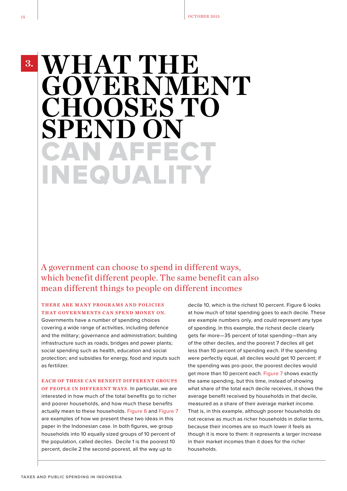**3.**

## CAN AFFECT INEQUALITY WHAT THE **GOVERNMENT CHOOSES TO SPEND**

A government can choose to spend in different ways, which benefit different people. The same benefit can also mean different things to people on different incomes

#### THERE ARE MANY PROGRAMS AND POLICIES THAT GOVERNMENTS CAN SPEND MONEY ON.

Governments have a number of spending choices covering a wide range of activities, including defence and the military; governance and administration; building infrastructure such as roads, bridges and power plants; social spending such as health, education and social protection; and subsidies for energy, food and inputs such as fertilizer.

EACH OF THESE CAN BENEFIT DIFFERENT GROUPS OF PEOPLE IN DIFFERENT WAYS. In particular, we are interested in how much of the total benefits go to richer and poorer households, and how much these benefits actually mean to these households. Figure 6 and Figure 7 are examples of how we present these two ideas in this paper in the Indonesian case. In both figures, we group households into 10 equally sized groups of 10 percent of the population, called deciles. Decile 1 is the poorest 10 percent, decile 2 the second-poorest, all the way up to

decile 10, which is the richest 10 percent. Figure 6 looks at how much of total spending goes to each decile. These are example numbers only, and could represent any type of spending. In this example, the richest decile clearly gets far more—35 percent of total spending—than any of the other deciles, and the poorest 7 deciles all get less than 10 percent of spending each. If the spending were perfectly equal, all deciles would get 10 percent; if the spending was pro-poor, the poorest deciles would get more than 10 percent each. Figure 7 shows exactly the same spending, but this time, instead of showing what share of the total each decile receives, it shows the average benefit received by households in that decile, measured as a share of their average market income. That is, in this example, although poorer households do not receive as much as richer households in dollar terms, because their incomes are so much lower it feels as though it is more to them: it represents a larger increase in their market incomes than it does for the richer households.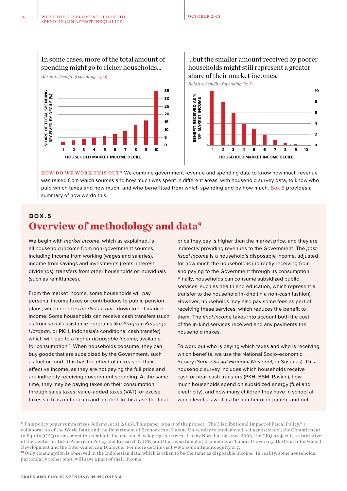

…but the smaller amount received by poorer households might still represent a greater share of their market incomes.



HOW DO WE WORK THIS OUT? We combine government revenue and spending data to know how much revenue was raised from which sources and how much was spent in different areas, with household survey data, to know who paid which taxes and how much, and who benefitted from which spending and by how much. Box 5 provides a summary of how we do this.

#### **Overview of methodology and data9 B O X . 5**

We begin with *market income*, which as explained, is all household income from non-government sources, including income from working (wages and salaries), income from savings and investments (rents, interest, dividends), transfers from other households or individuals (such as remittances).

From the market income, some households will pay personal income taxes or contributions to public pension plans, which reduces market income down to net market income. Some households can receive cash transfers (such as from social assistance programs like Program Keluarga Harapan, or PKH, Indonesia's conditional cash transfer), which will lead to a higher disposable income, available for consumption<sup>10</sup>. When households consume, they can buy goods that are subsidized by the Government, such as fuel or food. This has the effect of increasing their effective income, as they are not paying the full price and are indirectly receiving government spending. At the same time, they may be paying taxes on their consumption, through sales taxes, value-added taxes (VAT), or excise taxes such as on tobacco and alcohol. In this case the final

price they pay is higher than the market price, and they are indirectly providing revenues to the Government. The postfiscal income is a household's disposable income, adjusted for how much the household is indirectly receiving from and paying to the Government through its consumption. Finally, households can consume subsidized public services, such as health and education, which represent a transfer to the household in-kind (in a non-cash fashion). However, households may also pay some fees as part of receiving these services, which reduces the benefit to them. The final income takes into account both the cost of the in-kind services received and any payments the household makes.

To work out who is paying which taxes and who is receiving which benefits, we use the National Socio-economic Survey (Survei Sosial Ekonomi Nasional, or Susenas). This household survey includes which households receive cash or near-cash transfers (PKH, BSM, Raskin), how much households spend on subsidized energy (fuel and electricity), and how many children they have in school at which level, as well as the number of in-patient and out-

**<sup>9</sup>**This policy paper summarizes Jellema, et al.(2015). This paper is part of the project "The Distributional Impact of Fiscal Policy," a collaboration of the World Bank and the Department of Economics at Tulane University to implement its diagnostic tool, the Commitment to Equity (CEQ) assessment to six middle income and developing countries. Led by Nora Lustig since 2008, the CEQ project is an initiative of the Center for Inter-American Policy and Research (CIPR) and the Department of Economics at Tulane University, the Center for Global Development and the Inter-American Dialogue. For more details visit www.commitmentoequity.org.

**<sup>10</sup>**Only consumption is observed in the Indonesian data, which is taken to be the same as disposable income. In reality, some households, particularly richer ones, will save a part of their income.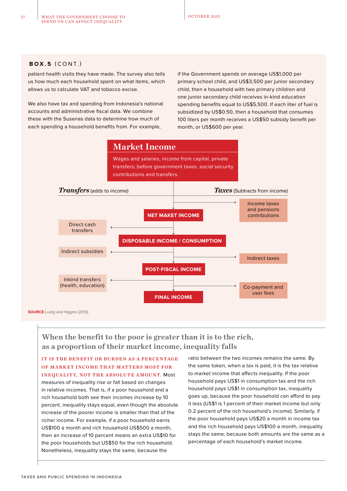#### **B O X .5** (CONT.)

patient health visits they have made. The survey also tells us how much each household spent on what items, which allows us to calculate VAT and tobacco excise.

We also have tax and spending from Indonesia's national accounts and administrative fiscal data. We combine these with the Susenas data to determine how much of each spending a household benefits from. For example,

if the Government spends on average US\$1,000 per primary school child, and US\$3,500 per junior secondary child, then a household with two primary children and one junior secondary child receives in-kind education spending benefits equal to US\$5,500. If each liter of fuel is subsidized by US\$0.50, then a household that consumes 100 liters per month receives a US\$50 subsidy benefit per month, or US\$600 per year.



#### **When the benefit to the poor is greater than it is to the rich, as a proportion of their market income, inequality falls**

IT IS THE BENEFIT OR BURDEN AS A PERCENTAGE OF MARKET INCOME THAT MATTERS MOST FOR INEQUALITY, NOT THE ABSOLUTE AMOUNT. Most measures of inequality rise or fall based on changes in relative incomes. That is, if a poor household and a rich household both see their incomes increase by 10 percent, inequality stays equal, even though the absolute increase of the poorer income is smaller than that of the richer income. For example, if a poor household earns US\$100 a month and rich household US\$500 a month, then an increase of 10 percent means an extra US\$10 for the poor households but US\$50 for the rich household. Nonetheless, inequality stays the same, because the

ratio between the two incomes remains the same. By the same token, when a tax is paid, it is the tax relative to market income that affects inequality. If the poor household pays US\$1 in consumption tax and the rich household pays US\$1 in consumption tax, inequality goes up, because the poor household can afford to pay it less (US\$1 is 1 percent of their market income but only 0.2 percent of the rich household's income). Similarly, if the poor household pays US\$20 a month in income tax and the rich household pays US\$100 a month, inequality stays the same, because both amounts are the same as a percentage of each household's market income.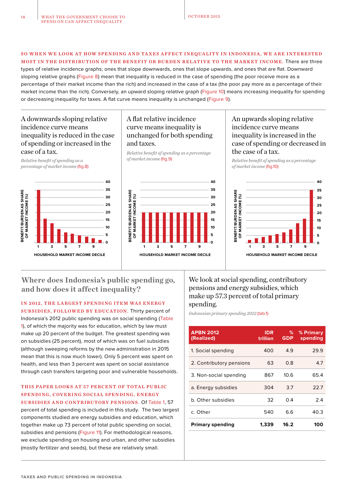#### SO WHEN WE LOOK AT HOW SPENDING AND TAXES AFFECT INEQUALITY IN INDONESIA, WE ARE INTERESTED MOST IN THE DISTRIBUTION OF THE BENEFIT OR BURDEN RELATIVE TO THE MARKET INCOME. There are three

types of relative incidence graphs; ones that slope downwards, ones that slope upwards, and ones that are flat. Downward sloping relative graphs (Figure 8) mean that inequality is reduced in the case of spending (the poor receive more as a percentage of their market income than the rich) and increased in the case of a tax (the poor pay more as a percentage of their market income than the rich). Conversely, an upward sloping relative graph (Figure 10) means increasing inequality for spending or decreasing inequality for taxes. A flat curve means inequality is unchanged (Figure 9).

#### A downwards sloping relative incidence curve means inequality is reduced in the case of spending or increased in the case of a tax.

*Relative benefit of spending as a percentage of market income* (fig.8)



#### A flat relative incidence curve means inequality is unchanged for both spending and taxes.

*Relative benefit of spending as a percentage of market income* (fig.9) *Relative benefit of spending as a percentage* 



#### An upwards sloping relative incidence curve means inequality is increased in the case of spending or decreased in the case of a tax.

*of market income* (fig.10)



**Where does Indonesia's public spending go, and how does it affect inequality?**

IN 2012, THE LARGEST SPENDING ITEM WAS ENERGY SUBSIDIES, FOLLOWED BY EDUCATION. Thirty percent of Indonesia's 2012 public spending was on social spending (Table 1), of which the majority was for education, which by law must make up 20 percent of the budget. The greatest spending was on subsidies (25 percent), most of which was on fuel subsidies (although sweeping reforms by the new administration in 2015 mean that this is now much lower). Only 5 percent was spent on health, and less than 3 percent was spent on social assistance through cash transfers targeting poor and vulnerable households.

#### THIS PAPER LOOKS AT 57 PERCENT OF TOTAL PUBLIC SPENDING, COVERING SOCIAL SPENDING, ENERGY SUBSIDIES AND CONTRIBUTORY PENSIONS. Of Table 1, 57

percent of total spending is included in this study. The two largest components studied are energy subsidies and education, which together make up 73 percent of total public spending on social, subsidies and pensions (Figure 11). For methodological reasons, we exclude spending on housing and urban, and other subsidies (mostly fertilizer and seeds), but these are relatively small.

We look at social spending, contributory pensions and energy subsidies, which make up 57.3 percent of total primary spending.

*Indonesian primary spending 2012* (tab.1)

| <b>APBN 2012</b><br>(Realized) | <b>IDR</b><br>trillion | %<br><b>GDP</b> | % Primary<br>spending |
|--------------------------------|------------------------|-----------------|-----------------------|
| 1. Social spending             | 400                    | 4.9             | 29.9                  |
| 2. Contributory pensions       | 63                     | 0.8             | 4.7                   |
| 3. Non-social spending         | 867                    | 10.6            | 65.4                  |
| a. Energy subsidies            | 304                    | 3.7             | 22.7                  |
| b. Other subsidies             | 32                     | 0.4             | 2.4                   |
| c. Other                       | 540                    | 6.6             | 40.3                  |
| <b>Primary spending</b>        | 1.339                  | 16.2            | 100                   |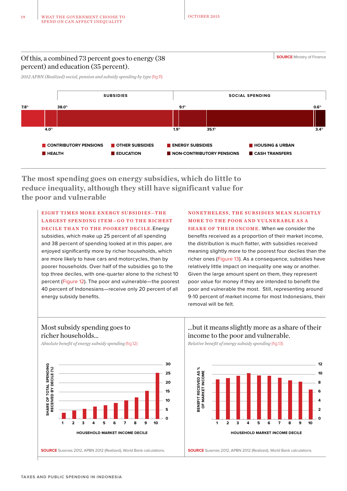Of this, a combined 73 percent goes to energy (38 percent) and education (35 percent).

**SOURCE** Ministry of Finance

*2012 APBN (Realized) social, pension and subsidy spending by type* (fig.11)



**The most spending goes on energy subsidies, which do little to reduce inequality, although they still have significant value for the poor and vulnerable**

EIGHT TIMES MORE ENERGY SUBSIDIES-THE LARGEST SPENDING ITEM-GO TO THE RICHEST DECILE THAN TO THE POOREST DECILE. Energy

subsidies, which make up 25 percent of all spending and 38 percent of spending looked at in this paper, are enjoyed significantly more by richer households, which are more likely to have cars and motorcycles, than by poorer households. Over half of the subsidies go to the top three deciles, with one-quarter alone to the richest 10 percent (Figure 12). The poor and vulnerable—the poorest 40 percent of Indonesians—receive only 20 percent of all energy subsidy benefits.

NONETHELESS, THE SUBSIDIES MEAN SLIGHTLY MORE TO THE POOR AND VULNERABLE AS A

SHARE OF THEIR INCOME. When we consider the benefits received as a proportion of their market income, the distribution is much flatter, with subsidies received meaning slightly more to the poorest four deciles than the richer ones (Figure 13). As a consequence, subsidies have relatively little impact on inequality one way or another. Given the large amount spent on them, they represent poor value for money if they are intended to benefit the poor and vulnerable the most. Still, representing around 9-10 percent of market income for most Indonesians, their removal will be felt.

#### Most subsidy spending goes to richer households…

*Absolute benefit of energy subsidy spending* (fig.12) *Relative benefit of energy subsidy spending* (fig.13)



#### …but it means slightly more as a share of their income to the poor and vulnerable.

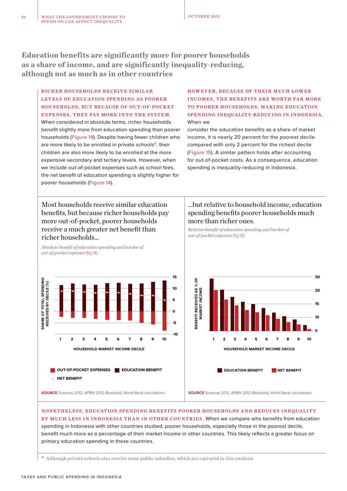**Education benefits are significantly more for poorer households as a share of income, and are significantly inequality-reducing, although not as much as in other countries**

#### RICHER HOUSEHOLDS RECEIVE SIMILAR LEVELS OF EDUCATION SPENDING AS POORER HOUSEHOLDS, BUT BECAUSE OF OUT-OF-POCKET EXPENSES, THEY PAY MORE INTO THE SYSTEM .

When considered in absolute terms, richer households benefit slightly more from education spending than poorer households (Figure 14). Despite having fewer children who are more likely to be enrolled in private schools<sup>11</sup>, their children are also more likely to be enrolled at the more expensive secondary and tertiary levels. However, when we include out-of-pocket expenses such as school fees, the net benefit of education spending is slightly higher for poorer households (Figure 14).

#### HOWEVER, BECAUSE OF THEIR MUCH LOWER INCOMES, THE BENEFITS ARE WORTH FAR MORE TO POORER HOUSEHOLDS, MA KING EDUCATION SPENDING INEQUALITY-REDUCING IN INDONESIA. When we

consider the education benefits as a share of market income, it is nearly 20 percent for the poorest decile compared with only 2 percent for the richest decile (Figure 15). A similar pattern holds after accounting for out-of-pocket costs. As a consequence, education spending is inequality-reducing in Indonesia.

Most households receive similar education benefits, but because richer households pay more out-of-pocket, poorer households receive a much greater net benefit than richer households…

*Absolute benefit of education spending and burden of* 

*out-of-pocket expenses* (fig.14)

#### …but relative to household income, education spending benefits poorer households much more than richer ones.

*Relative benefit of education spending and burden of out-of-pocket expenses* (fig.15)





#### NONETHELESS, EDUCATION SPENDING BENEFITS POORER HOUSEHOLDS AND REDUCES INEQUALITY BY MUCH LESS IN INDONESIA THAN IN OTHER COUNTRIES. When we compare who benefits from education spending in Indonesia with other countries studied, poorer households, especially those in the poorest decile, benefit much more as a percentage of their market income in other countries. This likely reflects a greater focus on primary education spending in these countries.

**<sup>11</sup>** Although private schools also receive some public subsidies, which are captured in this analysis.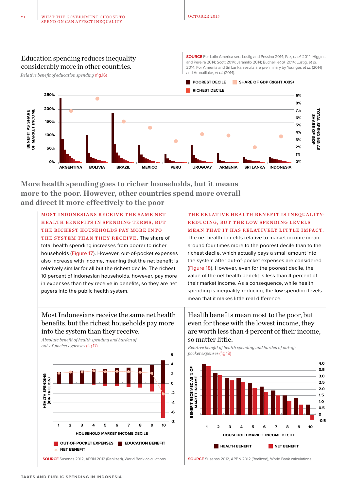Education spending reduces inequality considerably more in other countries.

*Relative benefit of education spending* (fig.16)

**SOURCE** For Latin America see: Lustig and Pessino 2014; Paz, et al. 2014; Higgins and Pereira 2014; Scott 2014; Jaramillo 2014; Bucheli, et al. 2014; Lustig, et al. 2014. For Armenia and Sri Lanka, results are preliminary by Younger, et al. (2014) and Arunatilake, et al. (2014).



**More health spending goes to richer households, but it means more to the poor. However, other countries spend more overall and direct it more effectively to the poor**

MOST INDONESIANS RECEIVE THE SAME NET HEALTH BENEFITS IN SPENDING TERMS, BUT THE RICHEST HOUSEHOLDS PAY MORE INTO THE SYSTEM THAN THEY RECEIVE. The share of total health spending increases from poorer to richer households (Figure 17). However, out-of-pocket expenses also increase with income, meaning that the net benefit is relatively similar for all but the richest decile. The richest 10 percent of Indonesian households, however, pay more in expenses than they receive in benefits, so they are net payers into the public health system.

#### THE RELATIVE HEALTH BENEFIT IS INEQUALITY-REDUCING, BUT THE LOW SPENDING LEVELS MEAN THAT IT HAS RELATIVELY LITTLE IMPACT.

The net health benefits relative to market income mean around four times more to the poorest decile than to the richest decile, which actually pays a small amount into the system after out-of-pocket expenses are considered (Figure 18). However, even for the poorest decile, the value of the net health benefit is less than 4 percent of their market income. As a consequence, while health spending is inequality-reducing, the low spending levels mean that it makes little real difference.

Health benefits mean most to the poor, but even for those with the lowest income, they are worth less than 4 percent of their income,

#### Most Indonesians receive the same net health benefits, but the richest households pay more into the system than they receive.

*Absolute benefit of health spending and burden of* **so matter little.**<br> *out-of-pocket expenses* (fig.17)



*out-of-pocket expenses* (fig.17) *Relative benefit of health spending and burden of out-ofpocket expenses* (fig.18)

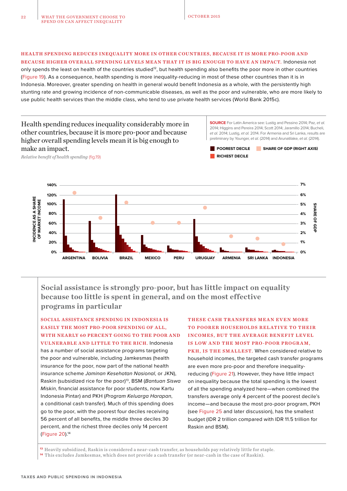#### HEALTH SPENDING REDUCES INEQUALITY MORE IN OTHER COUNTRIES, BECAUSE IT IS MORE PRO-POOR AND BECAUSE HIGHER OVERALL SPENDING LEVELS MEAN THAT IT IS BIG ENOUGH TO HAVE AN IMPACT. Indonesia not

only spends the least on health of the countries studied<sup>12</sup>, but health spending also benefits the poor more in other countries (Figure 19). As a consequence, health spending is more inequality-reducing in most of these other countries than it is in Indonesia. Moreover, greater spending on health in general would benefit Indonesia as a whole, with the persistently high stunting rate and growing incidence of non-communicable diseases, as well as the poor and vulnerable, who are more likely to use public health services than the middle class, who tend to use private health services (World Bank 2015c).

#### Health spending reduces inequality considerably more in other countries, because it is more pro-poor and because higher overall spending levels mean it is big enough to make an impact.

**SOURCE** For Latin America see: Lustig and Pessino 2014; Paz, et al. 2014; Higgins and Pereira 2014; Scott 2014; Jaramillo 2014; Bucheli, et al. 2014; Lustig, et al. 2014. For Armenia and Sri Lanka, results are preliminary by Younger, et al. (2014) and Arunatilake, et al. (2014).



*Relative benefit of health spending* (fig.19)



**Social assistance is strongly pro-poor, but has little impact on equality because too little is spent in general, and on the most effective programs in particular**

SOCIAL ASSISTANCE SPENDING IN INDONESIA IS EASILY THE MOST PRO-POOR SPENDING OF ALL, WITH NEARLY 60 PERCENT GOING TO THE POOR AND VULNERABLE AND LITTLE TO THE RICH. Indonesia has a number of social assistance programs targeting the poor and vulnerable, including Jamkesmas (health insurance for the poor, now part of the national health insurance scheme Jaminan Kesehatan Nasional, or JKN), Raskin (subsidized rice for the poor)<sup>13</sup>, BSM (Bantuan Siswa Miskin, financial assistance for poor students, now Kartu Indonesia Pintar) and PKH (Program Keluarga Harapan, a conditional cash transfer). Much of this spending does go to the poor, with the poorest four deciles receiving 56 percent of all benefits, the middle three deciles 30 percent, and the richest three deciles only 14 percent (Figure 20).14

THESE CASH TRANSFERS MEAN EVEN MORE TO POORER HOUSEHOLDS RELATIVE TO THEIR INCOMES, BUT THE AVERAGE BENEFIT LEVEL IS LOW AND THE MOST PRO-POOR PROGRAM. PKH, IS THE SMALLEST. When considered relative to household incomes, the targeted cash transfer programs are even more pro-poor and therefore inequalityreducing (Figure 21). However, they have little impact on inequality because the total spending is the lowest of all the spending analyzed here—when combined the transfers average only 4 percent of the poorest decile's income—and because the most pro-poor program, PKH (see Figure 25 and later discussion), has the smallest budget (IDR 2 trillion compared with IDR 11.5 trillion for Raskin and BSM).

**<sup>13</sup>**Heavily subsidized, Raskin is considered a near-cash transfer, as households pay relatively little for staple. **<sup>14</sup>**This excludes Jamkesmas, which does not provide a cash transfer (or near-cash in the case of Raskin).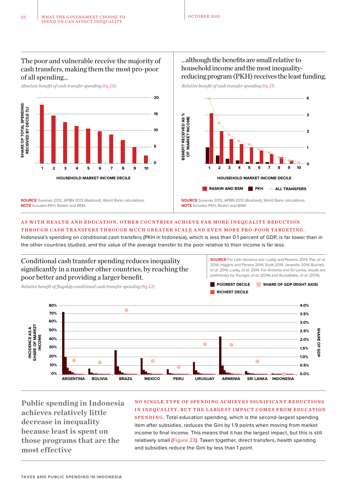#### The poor and vulnerable receive the majority of cash transfers, making them the most pro-poor of all spending…

*Absolute benefit of cash transfer spending* (fig.20)



**SOURCE** Susenas 2012, APBN 2012 (Realized), World Bank calculations. **NOTE** Includes PKH, Raskin and BSM.

#### …although the benefits are small relative to household income and the most inequalityreducing program (PKH) receives the least funding.

*Relative benefit of cash transfer spending* (fig.21)



#### AS WITH HEALTH AND EDUCATION, OTHER COUNTRIES ACHIEVE FAR MORE INEQUALITY REDUCTION THROUGH CASH TRANSFERS THROUGH MUCH GREATER SCALE AND EVEN MORE PRO-POOR TARGETING.

Indonesia's spending on conditional cash transfers (PKH in Indonesia), which is less than 0.1 percent of GDP, is far lower than in the other countries studied, and the value of the average transfer to the poor relative to their income is far less.

#### Conditional cash transfer spending reduces inequality significantly in a number other countries, by reaching the poor better and providing a larger benefit.

*Relative benefit of flagship conditional cash transfer spending* (fig.22)

**SOURCE** For Latin America see: Lustig and Pessino 2014; Paz, et al. 2014; Higgins and Pereira 2014; Scott 2014; Jaramillo 2014; Bucheli, et al. 2014; Lustig, et al. 2014. For Armenia and Sri Lanka, results are preliminary by Younger, et al. (2014) and Arunatilake, et al. (2014).



**80% 4.0%** ۵ **70% 3.5% 60% 3.0% INCIDENCE AS A<br>SHARE OF MARKET<br>INCOME 50% SHARE SHARE OF GDP 2.5% 40% 2.0%**  $\bullet$  $\frac{1}{2}$ **30% 1.5%** ę **20% 1.0%**  $\bullet$ **10% 0.5% 0% 0.0% ARGENTINA BOLIVIA BRAZIL MEXICO PERU URUGUAY ARMENIA SRI LANKA INDONESIA**

**Public spending in Indonesia achieves relatively little decrease in inequality because least is spent on those programs that are the most effective**

#### NO SINGLE TYPE OF SPENDING ACHIEVES SIGNIFICANT REDUCTIONS IN INEQUALITY, BUT THE LARGEST IMPACT COMES FROM EDUCATION

SPENDING. Total education spending, which is the second-largest spending item after subsidies, reduces the Gini by 1.9 points when moving from market income to final income. This means that it has the largest impact, but this is still relatively small (Figure 23). Taken together, direct transfers, health spending and subsidies reduce the Gini by less than 1 point.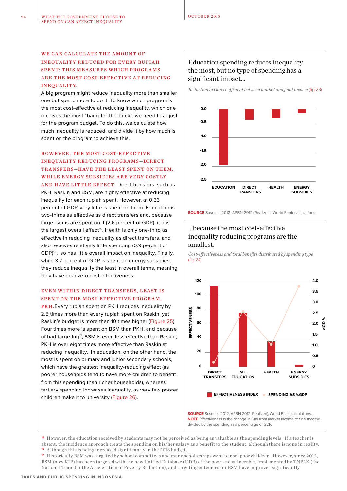#### WE CAN CALCULATE THE AMOUNT OF INEQUALITY REDUCED FOR EVERY RUPIAH SPENT: THIS MEASURES WHICH PROGRAMS ARE THE MOST COST-EFFECTIVE AT REDUCING INEQUALITY.

A big program might reduce inequality more than smaller one but spend more to do it. To know which program is the most cost-effective at reducing inequality, which one receives the most "bang-for-the-buck", we need to adjust for the program budget. To do this, we calculate how much inequality is reduced, and divide it by how much is spent on the program to achieve this.

#### HOWEVER, THE MOST COST-EFFECTIVE INEQUALITY REDUCING PROGRAMS-DIRECT TRANSFERS-HAVE THE LEAST SPENT ON THEM, WHILE ENERGY SUBSIDIES ARE VERY COSTLY AND HAVE LITTLE EFFECT. Direct transfers, such as PKH, Raskin and BSM, are highly effective at reducing inequality for each rupiah spent. However, at 0.33 percent of GDP, very little is spent on them. Education is two-thirds as effective as direct transfers and, because larger sums are spent on it (2.6 percent of GDP), it has the largest overall effect<sup>15</sup>. Health is only one-third as effective in reducing inequality as direct transfers, and

also receives relatively little spending (0.9 percent of GDP)16, so has little overall impact on inequality. Finally, while 3.7 percent of GDP is spent on energy subsidies, they reduce inequality the least in overall terms, meaning they have near zero cost-effectiveness.

#### EVEN WITHIN DIRECT TRANSFERS, LEAST IS SPENT ON THE MOST EFFECTIVE PROGRAM.

PKH.Every rupiah spent on PKH reduces inequality by 2.5 times more than every rupiah spent on Raskin, yet Raskin's budget is more than 10 times higher (Figure 25). Four times more is spent on BSM than PKH, and because of bad targeting<sup>17</sup>, BSM is even less effective than Raskin; PKH is over eight times more effective than Raskin at reducing inequality. In education, on the other hand, the most is spent on primary and junior secondary schools, which have the greatest inequality-reducing effect (as poorer households tend to have more children to benefit from this spending than richer households), whereas tertiary spending increases inequality, as very few poorer children make it to university (Figure 26).

#### Education spending reduces inequality the most, but no type of spending has a significant impact…

*Reduction in Gini coefficient between market and final income* (fig.23)



**SOURCE** Susenas 2012, APBN 2012 (Realized), World Bank calculations.

#### …because the most cost-effective inequality reducing programs are the smallest.

*Cost-effectiveness and total benefits distributed by spending type*  (fig.24)



**SOURCE** Susenas 2012, APBN 2012 (Realized), World Bank calculations. **NOTE** Effectiveness is the change in Gini from market income to final income divided by the spending as a percentage of GDP.

**<sup>15</sup>**However, the education received by students may not be perceived as being as valuable as the spending levels. If a teacher is absent, the incidence approach treats the spending on his/her salary as a benefit to the student, although there is none in reality. **<sup>16</sup>**Although this is being increased significantly in the 2016 budget.

**<sup>17</sup>**Historically BSM was targeted by school committees and many scholarships went to non-poor children. However, since 2012, BSM (now KIP) has been targeted with the new Unified Database (UDB) of the poor and vulnerable, implemented by TNP2K (the National Team for the Acceleration of Poverty Reduction), and targeting outcomes for BSM have improved significantly.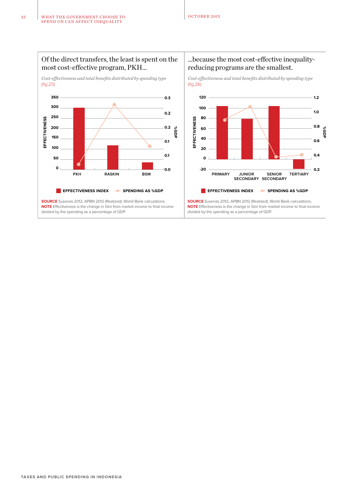

#### …because the most cost-effective inequalityreducing programs are the smallest.

*Cost-effectiveness and total benefits distributed by spending type*  (fig.26)



**SOURCE** Susenas 2012, APBN 2012 (Realized), World Bank calculations. **NOTE** Effectiveness is the change in Gini from market income to final income divided by the spending as a percentage of GDP.

*Cost-effectiveness and total benefits distributed by spending type*  (fig.25)

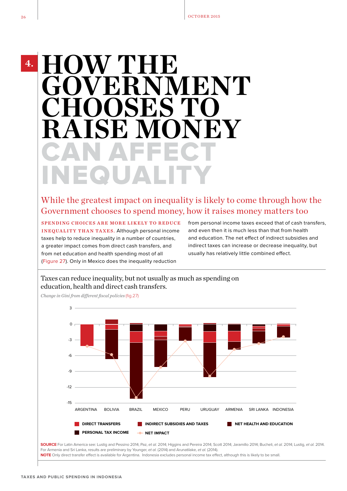**4.**

## CAN AFFECT INEQUALITY **HOW THE NMENT**<br>ES TO **CHOOSE RAISE MONEY**

#### While the greatest impact on inequality is likely to come through how the Government chooses to spend money, how it raises money matters too

SPENDING CHOICES ARE MORE LIKELY TO REDUCE INEQUALITY THAN TAXES. Although personal income taxes help to reduce inequality in a number of countries, a greater impact comes from direct cash transfers, and from net education and health spending most of all (Figure 27). Only in Mexico does the inequality reduction

from personal income taxes exceed that of cash transfers, and even then it is much less than that from health and education. The net effect of indirect subsidies and indirect taxes can increase or decrease inequality, but usually has relatively little combined effect.

#### Taxes can reduce inequality, but not usually as much as spending on education, health and direct cash transfers.

*Change in Gini from different fiscal policies* (fig.27)



**SOURCE** For Latin America see: Lustig and Pessino 2014; Paz, et al. 2014; Higgins and Pereira 2014; Scott 2014; Jaramillo 2014; Bucheli, et al. 2014; Lustig, et al. 2014. For Armenia and Sri Lanka, results are preliminary by Younger, et al. (2014) and Arunatilake, et al. (2014). NOTE Only direct transfer effect is available for Argentina. Indonesia excludes personal income tax effect, although this is likely to be small.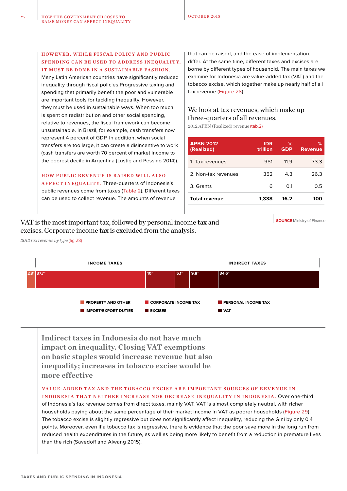#### HOWEVER, WHILE FISCAL POLICY AND PUBLIC SPENDING CAN BE USED TO ADDRESS INEQUALITY. IT MUST BE DONE IN A SUSTAINABLE FASHION.

Many Latin American countries have significantly reduced inequality through fiscal policies.Progressive taxing and spending that primarily benefit the poor and vulnerable are important tools for tackling inequality. However, they must be used in sustainable ways. When too much is spent on redistribution and other social spending, relative to revenues, the fiscal framework can become unsustainable. In Brazil, for example, cash transfers now represent 4 percent of GDP. In addition, when social transfers are too large, it can create a disincentive to work (cash transfers are worth 70 percent of market income to the poorest decile in Argentina (Lustig and Pessino 2014)).

HOW PUBLIC REVENUE IS RAISED WILL ALSO

AFFECT INEQUALITY. Three-quarters of Indonesia's public revenues come from taxes (Table 2). Different taxes can be used to collect revenue. The amounts of revenue

that can be raised, and the ease of implementation, differ. At the same time, different taxes and excises are borne by different types of household. The main taxes we examine for Indonesia are value-added tax (VAT) and the tobacco excise, which together make up nearly half of all tax revenue (Figure 28).

#### We look at tax revenues, which make up three-quarters of all revenues.

2012 APBN (Realized) revenue (tab.2)

| <b>APBN 2012</b><br>(Realized) | <b>IDR</b><br>trillion | $\%$<br><b>GDP</b> | %<br><b>Revenue</b> |
|--------------------------------|------------------------|--------------------|---------------------|
| 1. Tax revenues                | 981                    | 11.9               | 73.3                |
| 2. Non-tax revenues            | 352                    | 4.3                | 26.3                |
| 3. Grants                      | 6                      | 0.1                | 0.5                 |
| <b>Total revenue</b>           | 1.338                  | 16.2               | 100                 |

VAT is the most important tax, followed by personal income tax and excises. Corporate income tax is excluded from the analysis.

**SOURCE** Ministry of Finance

*2012 tax revenue by type* (fig.28)



**Indirect taxes in Indonesia do not have much impact on inequality. Closing VAT exemptions on basic staples would increase revenue but also inequality; increases in tobacco excise would be more effective**

#### VALUE-ADDED TAX AND THE TOBACCO EXCISE ARE IMPORTANT SOURCES OF REVENUE IN

INDONESIA THAT NEITHER INCREASE NOR DECREASE INEQUALITY IN INDONESIA. Over one-third of Indonesia's tax revenue comes from direct taxes, mainly VAT. VAT is almost completely neutral, with richer households paying about the same percentage of their market income in VAT as poorer households (Figure 29). The tobacco excise is slightly regressive but does not significantly affect inequality, reducing the Gini by only 0.4 points. Moreover, even if a tobacco tax is regressive, there is evidence that the poor save more in the long run from reduced health expenditures in the future, as well as being more likely to benefit from a reduction in premature lives than the rich (Savedoff and Alwang 2015).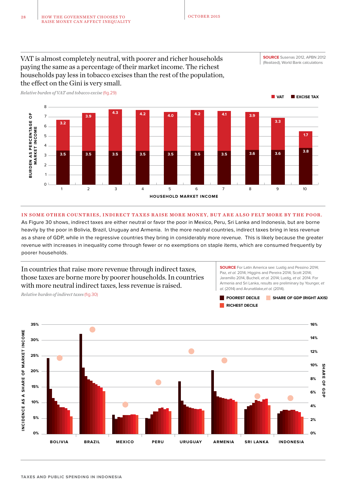**SOURCE** Susenas 2012, APBN 2012 (Realized), World Bank calculations

#### VAT is almost completely neutral, with poorer and richer households paying the same as a percentage of their market income. The richest households pay less in tobacco excises than the rest of the population, the effect on the Gini is very small. *Relative burden of VAT and tobacco excise* (fig.29)



#### IN SOME OTHER COUNTRIES, INDIRECT TAXES RAISE MORE MONEY, BUT ARE ALSO FELT MORE BY THE POOR.

As Figure 30 shows, indirect taxes are either neutral or favor the poor in Mexico, Peru, Sri Lanka and Indonesia, but are borne heavily by the poor in Bolivia, Brazil, Uruguay and Armenia. In the more neutral countries, indirect taxes bring in less revenue as a share of GDP, while in the regressive countries they bring in considerably more revenue. This is likely because the greater revenue with increases in inequality come through fewer or no exemptions on staple items, which are consumed frequently by poorer households.



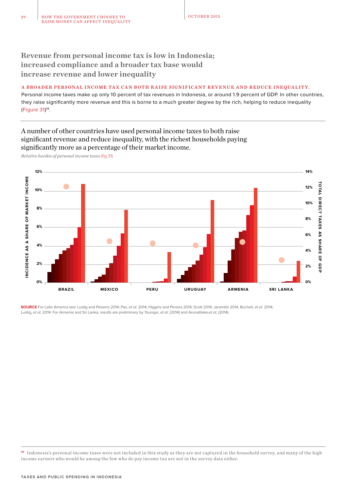**Revenue from personal income tax is low in Indonesia; increased compliance and a broader tax base would increase revenue and lower inequality**

#### A BROADER PERSONAL INCOME TAX CAN BOTH RAISE SIGNIFICANT REVENUE AND REDUCE INEQUALITY.

Personal income taxes make up only 10 percent of tax revenues in Indonesia, or around 1.9 percent of GDP. In other countries, they raise significantly more revenue and this is borne to a much greater degree by the rich, helping to reduce inequality (Figure 31) 18.

#### A number of other countries have used personal income taxes to both raise significant revenue and reduce inequality, with the richest households paying significantly more as a percentage of their market income.

*Relative burden of personal income taxes* (fig.31)



**SOURCE** For Latin America see: Lustig and Pessino 2014; Paz, et al. 2014; Higgins and Pereira 2014; Scott 2014; Jaramillo 2014, Bucheli, et al. 2014; Lustig, et al. 2014. For Armenia and Sri Lanka, results are preliminary by Younger, et al. (2014) and Arunatilake,et al. (2014).

**<sup>18</sup>** Indonesia's personal income taxes were not included in this study as they are not captured in the household survey, and many of the high income earners who would be among the few who do pay income tax are not in the survey data either.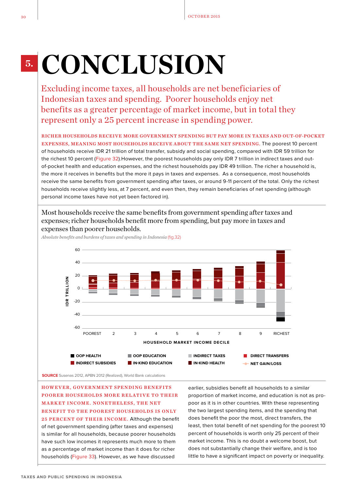## **5. CONCLUSION**

Excluding income taxes, all households are net beneficiaries of Indonesian taxes and spending. Poorer households enjoy net benefits as a greater percentage of market income, but in total they represent only a 25 percent increase in spending power.

RICHER HOUSEHOLDS RECEIVE MORE GOVERNMENT SPENDING BUT PAY MORE IN TA XES AND OUT-OF-POCKET EXPENSES, MEANING MOST HOUSEHOLDS RECEIVE ABOUT THE SAME NET SPENDING. The poorest 10 percent of households receive IDR 21 trillion of total transfer, subsidy and social spending, compared with IDR 59 trillion for the richest 10 percent (Figure 32). However, the poorest households pay only IDR 7 trillion in indirect taxes and outof-pocket health and education expenses, and the richest households pay IDR 49 trillion. The richer a household is, the more it receives in benefits but the more it pays in taxes and expenses. As a consequence, most households receive the same benefits from government spending after taxes, or around 9-11 percent of the total. Only the richest households receive slightly less, at 7 percent, and even then, they remain beneficiaries of net spending (although personal income taxes have not yet been factored in).

Most households receive the same benefits from government spending after taxes and expenses; richer households benefit more from spending, but pay more in taxes and expenses than poorer households.



*Absolute benefits and burdens of taxes and spending in Indonesia* (fig.32)

HOWEVER, GOVERNMENT SPENDING BENEFITS POORER HOUSEHOLDS MORE RELATIVE TO THEIR MARKET INCOME. NONETHELESS, THE NET BENEFIT TO THE POOREST HOUSEHOLDS IS ONLY 25 PERCENT OF THEIR INCOME. Although the benefit of net government spending (after taxes and expenses) is similar for all households, because poorer households have such low incomes it represents much more to them as a percentage of market income than it does for richer households (Figure 33). However, as we have discussed

earlier, subsidies benefit all households to a similar proportion of market income, and education is not as propoor as it is in other countries. With these representing the two largest spending items, and the spending that does benefit the poor the most, direct transfers, the least, then total benefit of net spending for the poorest 10 percent of households is worth only 25 percent of their market income. This is no doubt a welcome boost, but does not substantially change their welfare, and is too little to have a significant impact on poverty or inequality.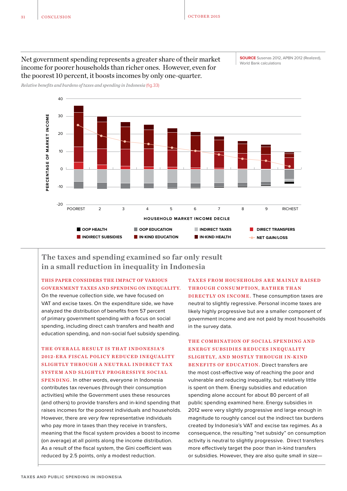#### Net government spending represents a greater share of their market income for poorer households than richer ones. However, even for the poorest 10 percent, it boosts incomes by only one-quarter.

**SOURCE** Susenas 2012, APBN 2012 (Realized), World Bank calculations

*Relative benefits and burdens of taxes and spending in Indonesia* (fig.33)



**The taxes and spending examined so far only result in a small reduction in inequality in Indonesia**

THIS PAPER CONSIDERS THE IMPACT OF VARIOUS GOVERNMENT TAXES AND SPENDING ON INEQUALITY.

On the revenue collection side, we have focused on VAT and excise taxes. On the expenditure side, we have analyzed the distribution of benefits from 57 percent of primary government spending with a focus on social spending, including direct cash transfers and health and education spending, and non-social fuel subsidy spending.

#### THE OVERALL RESULT IS THAT INDONESIA'S 2012-ERA FISCAL POLICY REDUCED INEQUALITY SLIGHTLY THROUGH A NEUTRAL INDIRECT TAX SYSTEM AND SLIGHTLY PROGRESSIVE SOCIAL

SPENDING. In other words, everyone in Indonesia contributes tax revenues (through their consumption activities) while the Government uses these resources (and others) to provide transfers and in-kind spending that raises incomes for the poorest individuals and households. However, there are very few representative individuals who pay more in taxes than they receive in transfers, meaning that the fiscal system provides a boost to income (on average) at all points along the income distribution. As a result of the fiscal system, the Gini coefficient was reduced by 2.5 points, only a modest reduction.

#### TAXES FROM HOUSEHOLDS ARE MAINLY RAISED THROUGH CONSUMPTION, RATHER THAN

DIRECTLY ON INCOME. These consumption taxes are neutral to slightly regressive. Personal income taxes are likely highly progressive but are a smaller component of government income and are not paid by most households in the survey data.

#### THE COMBINATION OF SOCIAL SPENDING AND ENERGY SUBSIDIES REDUCES INEQUALITY SLIGHTLY, AND MOSTLY THROUGH IN-KIND BENEFITS OF EDUCATION. Direct transfers are

the most cost-effective way of reaching the poor and vulnerable and reducing inequality, but relatively little is spent on them. Energy subsidies and education spending alone account for about 80 percent of all public spending examined here. Energy subsidies in 2012 were very slightly progressive and large enough in magnitude to roughly cancel out the indirect tax burdens created by Indonesia's VAT and excise tax regimes. As a consequence, the resulting "net subsidy" on consumption activity is neutral to slightly progressive. Direct transfers more effectively target the poor than in-kind transfers or subsidies. However, they are also quite small in size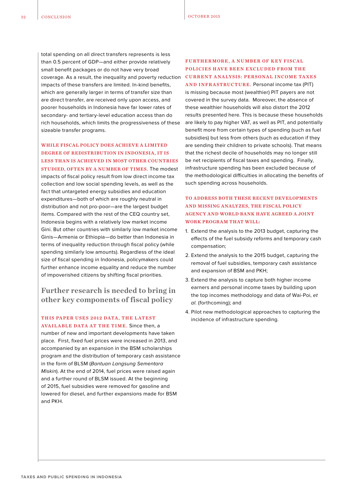total spending on all direct transfers represents is less than 0.5 percent of GDP—and either provide relatively small benefit packages or do not have very broad coverage. As a result, the inequality and poverty reduction impacts of these transfers are limited. In-kind benefits, which are generally larger in terms of transfer size than are direct transfer, are received only upon access, and poorer households in Indonesia have far lower rates of secondary- and tertiary-level education access than do rich households, which limits the progressiveness of these sizeable transfer programs.

#### WHILE FISCAL POLICY DOES ACHIEVE A LIMITED DEGREE OF REDISTRIBUTION IN INDONESIA, IT IS LESS THAN IS ACHIEVED IN MOST OTHER COUNTRIES

STUDIED, OFTEN BY A NUMBER OF TIMES. The modest impacts of fiscal policy result from low direct income tax collection and low social spending levels, as well as the fact that untargeted energy subsidies and education expenditures—both of which are roughly neutral in distribution and not pro-poor—are the largest budget items. Compared with the rest of the CEQ country set, Indonesia begins with a relatively low market income Gini. But other countries with similarly low market income Ginis—Armenia or Ethiopia—do better than Indonesia in terms of inequality reduction through fiscal policy (while spending similarly low amounts). Regardless of the ideal size of fiscal spending in Indonesia, policymakers could further enhance income equality and reduce the number of impoverished citizens by shifting fiscal priorities.

#### **Further research is needed to bring in other key components of fiscal policy**

#### THIS PAPER USES 2012 DATA, THE LATEST

AVAILABLE DATA AT THE TIME. Since then, a number of new and important developments have taken place. First, fixed fuel prices were increased in 2013, and accompanied by an expansion in the BSM scholarships program and the distribution of temporary cash assistance in the form of BLSM (Bantuan Langsung Sementara Miskin). At the end of 2014, fuel prices were raised again and a further round of BLSM issued. At the beginning of 2015, fuel subsidies were removed for gasoline and lowered for diesel, and further expansions made for BSM and PKH.

#### FURTHERMORE, A NUMBER OF KEY FISCAL POLICIES HAVE BEEN EXCLUDED FROM THE CURRENT ANALYSIS: PERSONAL INCOME TAXES

AND INFRASTRUCTURE. Personal income tax (PIT) is missing because most (wealthier) PIT payers are not covered in the survey data. Moreover, the absence of these wealthier households will also distort the 2012 results presented here. This is because these households are likely to pay higher VAT, as well as PIT, and potentially benefit more from certain types of spending (such as fuel subsidies) but less from others (such as education if they are sending their children to private schools). That means that the richest decile of households may no longer still be net recipients of fiscal taxes and spending. Finally, infrastructure spending has been excluded because of the methodological difficulties in allocating the benefits of such spending across households.

#### TO ADDRESS BOTH THESE RECENT DEVELOPMENTS AND MISSING ANALYZES, THE FISCAL POLICY AGENCY AND WORLD BANK HAVE AGREED A JOINT WORK PROGRAM THAT WILL:

- 1. Extend the analysis to the 2013 budget, capturing the effects of the fuel subsidy reforms and temporary cash compensation;
- 2. Extend the analysis to the 2015 budget, capturing the removal of fuel subsidies, temporary cash assistance and expansion of BSM and PKH;
- 3. Extend the analysis to capture both higher income earners and personal income taxes by building upon the top incomes methodology and data of Wai-Poi, et al. (forthcoming); and
- 4. Pilot new methodological approaches to capturing the incidence of infrastructure spending.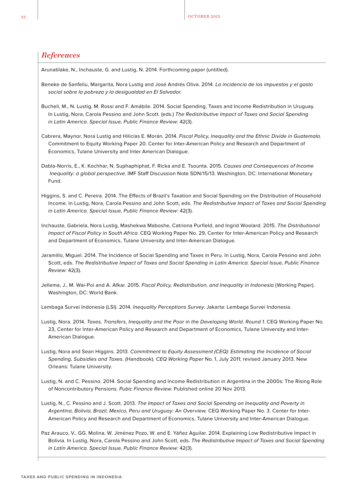#### *References*

Arunatilake, N., Inchauste, G. and Lustig, N. 2014. Forthcoming paper (untitled).

- Beneke de Sanfeliu, Margarita, Nora Lustig and José Andrés Oliva. 2014. La incidencia de los impuestos y el gasto social sobre la pobreza y la desigualdad en El Salvador.
- Bucheli, M., N. Lustig, M. Rossi and F. Amábile. 2014. Social Spending, Taxes and Income Redistribution in Uruguay. In Lustig, Nora, Carola Pessino and John Scott. (eds.) The Redistributive Impact of Taxes and Social Spending in Latin America. Special Issue, Public Finance Review: 42(3).
- Cabrera, Maynor, Nora Lustig and Hilicías E. Morán. 2014. Fiscal Policy, Inequality and the Ethnic Divide in Guatemala. Commitment to Equity Working Paper 20. Center for Inter-American Policy and Research and Department of Economics, Tulane University and Inter American Dialogue.
- Dabla-Norris, E., K. Kochhar, N. Suphaphiphat, F. Ricka and E. Tsounta. 2015. Causes and Consequences of Income Inequality: a global perspective. IMF Staff Discussion Note SDN/15/13. Washington, DC: International Monetary Fund.
- Higgins, S. and C. Pereira. 2014. The Effects of Brazil's Taxation and Social Spending on the Distribution of Household Income. In Lustig, Nora, Carola Pessino and John Scott, eds. The Redistributive Impact of Taxes and Social Spending in Latin America. Special Issue, Public Finance Review: 42(3).
- Inchauste, Gabriela, Nora Lustig, Mashekwa Maboshe, Catriona Purfield, and Ingrid Woolard. 2015. The Distributional Impact of Fiscal Policy in South Africa. CEQ Working Paper No. 29, Center for Inter-American Policy and Research and Department of Economics, Tulane University and Inter-American Dialogue.
- Jaramillo, Miguel. 2014. The Incidence of Social Spending and Taxes in Peru. In Lustig, Nora, Carola Pessino and John Scott, eds. The Redistributive Impact of Taxes and Social Spending in Latin America. Special Issue, Public Finance Review: 42(3).
- Jellema, J., M. Wai-Poi and A. Afkar. 2015. Fiscal Policy, Redistribution, and Inequality in Indonesia (Working Paper). Washington, DC: World Bank.

Lembaga Survei Indonesia (LSI). 2014. Inequality Perceptions Survey. Jakarta: Lembaga Survei Indonesia.

- Lustig, Nora. 2014. Taxes, Transfers, Inequality and the Poor in the Developing World. Round 1. CEQ Working Paper No. 23, Center for Inter-American Policy and Research and Department of Economics, Tulane University and Inter-American Dialogue.
- Lustig, Nora and Sean Higgins. 2013. Commitment to Equity Assessment (CEQ): Estimating the Incidence of Social Spending, Subsidies and Taxes. (Handbook). CEQ Working Paper No. 1, July 2011; revised January 2013. New Orleans: Tulane University.
- Lustig, N. and C. Pessino. 2014. Social Spending and Income Redistribution in Argentina in the 2000s: The Rising Role of Noncontributory Pensions. Pubic Finance Review. Published online 20 Nov 2013.

Lustig, N., C. Pessino and J. Scott. 2013. The Impact of Taxes and Social Spending on Inequality and Poverty in Argentina, Bolivia, Brazil, Mexico, Peru and Uruguay: An Overview. CEQ Working Paper No. 3. Center for Inter-American Policy and Research and Department of Economics, Tulane University and Inter-American Dialogue.

Paz Arauco, V., GG. Molina, W. Jiménez Pozo, W. and E. Yáñez Aguilar. 2014. Explaining Low Redistributive Impact in Bolivia. In Lustig, Nora, Carola Pessino and John Scott, eds. The Redistributive Impact of Taxes and Social Spending in Latin America. Special Issue, Public Finance Review: 42(3).